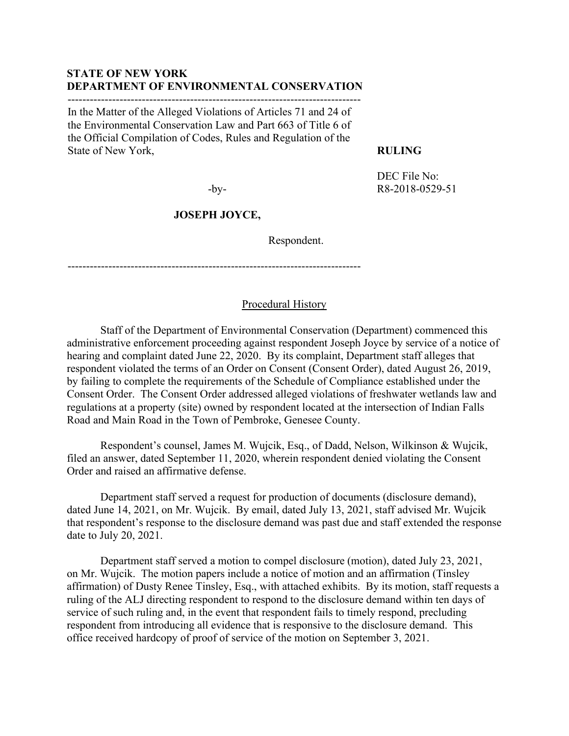#### **STATE OF NEW YORK DEPARTMENT OF ENVIRONMENTAL CONSERVATION** -------------------------------------------------------------------------------

In the Matter of the Alleged Violations of Articles 71 and 24 of the Environmental Conservation Law and Part 663 of Title 6 of the Official Compilation of Codes, Rules and Regulation of the State of New York,

#### **RULING**

-by-

DEC File No: R8-2018-0529-51

## **JOSEPH JOYCE,**

Respondent.

-------------------------------------------------------------------------------

### Procedural History

Staff of the Department of Environmental Conservation (Department) commenced this administrative enforcement proceeding against respondent Joseph Joyce by service of a notice of hearing and complaint dated June 22, 2020. By its complaint, Department staff alleges that respondent violated the terms of an Order on Consent (Consent Order), dated August 26, 2019, by failing to complete the requirements of the Schedule of Compliance established under the Consent Order. The Consent Order addressed alleged violations of freshwater wetlands law and regulations at a property (site) owned by respondent located at the intersection of Indian Falls Road and Main Road in the Town of Pembroke, Genesee County.

Respondent's counsel, James M. Wujcik, Esq., of Dadd, Nelson, Wilkinson & Wujcik, filed an answer, dated September 11, 2020, wherein respondent denied violating the Consent Order and raised an affirmative defense.

Department staff served a request for production of documents (disclosure demand), dated June 14, 2021, on Mr. Wujcik. By email, dated July 13, 2021, staff advised Mr. Wujcik that respondent's response to the disclosure demand was past due and staff extended the response date to July 20, 2021.

Department staff served a motion to compel disclosure (motion), dated July 23, 2021, on Mr. Wujcik. The motion papers include a notice of motion and an affirmation (Tinsley affirmation) of Dusty Renee Tinsley, Esq., with attached exhibits. By its motion, staff requests a ruling of the ALJ directing respondent to respond to the disclosure demand within ten days of service of such ruling and, in the event that respondent fails to timely respond, precluding respondent from introducing all evidence that is responsive to the disclosure demand. This office received hardcopy of proof of service of the motion on September 3, 2021.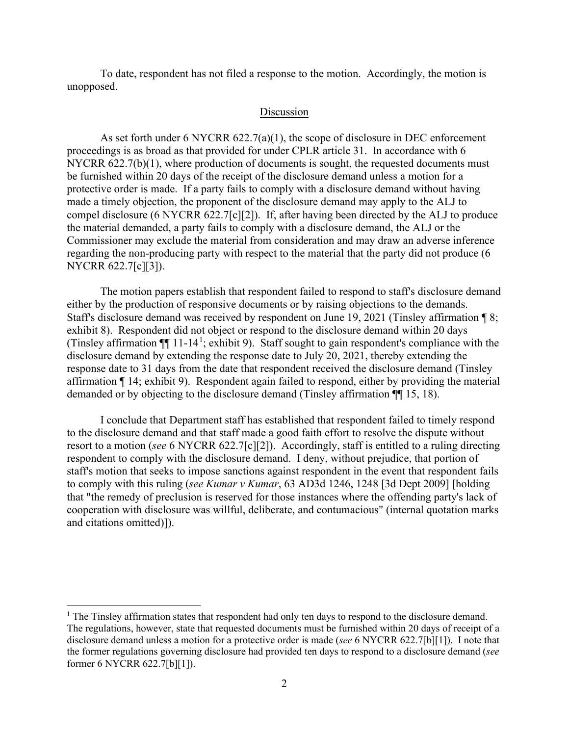To date, respondent has not filed a response to the motion. Accordingly, the motion is unopposed.

## Discussion

As set forth under 6 NYCRR 622.7(a)(1), the scope of disclosure in DEC enforcement proceedings is as broad as that provided for under CPLR article 31. In accordance with 6 NYCRR 622.7(b)(1), where production of documents is sought, the requested documents must be furnished within 20 days of the receipt of the disclosure demand unless a motion for a protective order is made. If a party fails to comply with a disclosure demand without having made a timely objection, the proponent of the disclosure demand may apply to the ALJ to compel disclosure (6 NYCRR 622.7[c][2]). If, after having been directed by the ALJ to produce the material demanded, a party fails to comply with a disclosure demand, the ALJ or the Commissioner may exclude the material from consideration and may draw an adverse inference regarding the non-producing party with respect to the material that the party did not produce (6 NYCRR 622.7[c][3]).

The motion papers establish that respondent failed to respond to staff's disclosure demand either by the production of responsive documents or by raising objections to the demands. Staff's disclosure demand was received by respondent on June 19, 2021 (Tinsley affirmation ¶ 8; exhibit 8). Respondent did not object or respond to the disclosure demand within 20 days (Tinsley affirmation  $\P$  [1](#page-1-0)1-14<sup>1</sup>; exhibit 9). Staff sought to gain respondent's compliance with the disclosure demand by extending the response date to July 20, 2021, thereby extending the response date to 31 days from the date that respondent received the disclosure demand (Tinsley affirmation ¶ 14; exhibit 9). Respondent again failed to respond, either by providing the material demanded or by objecting to the disclosure demand (Tinsley affirmation ¶¶ 15, 18).

I conclude that Department staff has established that respondent failed to timely respond to the disclosure demand and that staff made a good faith effort to resolve the dispute without resort to a motion (*see* 6 NYCRR 622.7[c][2]). Accordingly, staff is entitled to a ruling directing respondent to comply with the disclosure demand. I deny, without prejudice, that portion of staff's motion that seeks to impose sanctions against respondent in the event that respondent fails to comply with this ruling (*see Kumar v Kumar*, 63 AD3d 1246, 1248 [3d Dept 2009] [holding that "the remedy of preclusion is reserved for those instances where the offending party's lack of cooperation with disclosure was willful, deliberate, and contumacious" (internal quotation marks and citations omitted)]).

<span id="page-1-0"></span><sup>&</sup>lt;sup>1</sup> The Tinsley affirmation states that respondent had only ten days to respond to the disclosure demand. The regulations, however, state that requested documents must be furnished within 20 days of receipt of a disclosure demand unless a motion for a protective order is made (*see* 6 NYCRR 622.7[b][1]). I note that the former regulations governing disclosure had provided ten days to respond to a disclosure demand (*see* former 6 NYCRR 622.7[b][1]).